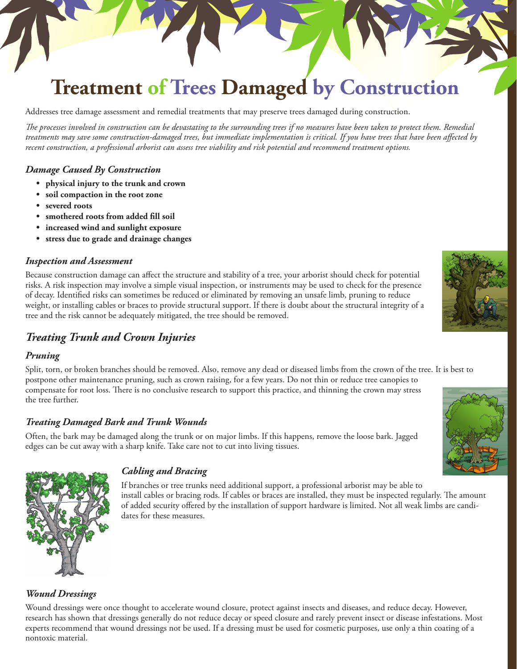# **Treatment of Trees Damaged by Construction**

Addresses tree damage assessment and remedial treatments that may preserve trees damaged during construction.

*The processes involved in construction can be devastating to the surrounding trees if no measures have been taken to protect them. Remedial treatments may save some construction-damaged trees, but immediate implementation is critical. If you have trees that have been affected by recent construction, a professional arborist can assess tree viability and risk potential and recommend treatment options.*

#### *Damage Caused By Construction*

- **• physical injury to the trunk and crown**
- **• soil compaction in the root zone**
- **• severed roots**
- **• smothered roots from added fill soil**
- **• increased wind and sunlight exposure**
- **• stress due to grade and drainage changes**

#### *Inspection and Assessment*

Because construction damage can affect the structure and stability of a tree, your arborist should check for potential risks. A risk inspection may involve a simple visual inspection, or instruments may be used to check for the presence of decay. Identified risks can sometimes be reduced or eliminated by removing an unsafe limb, pruning to reduce weight, or installing cables or braces to provide structural support. If there is doubt about the structural integrity of a tree and the risk cannot be adequately mitigated, the tree should be removed.

# *Treating Trunk and Crown Injuries*

#### *Pruning*

Split, torn, or broken branches should be removed. Also, remove any dead or diseased limbs from the crown of the tree. It is best to postpone other maintenance pruning, such as crown raising, for a few years. Do not thin or reduce tree canopies to compensate for root loss. There is no conclusive research to support this practice, and thinning the crown may stress the tree further.

## *Treating Damaged Bark and Trunk Wounds*

Often, the bark may be damaged along the trunk or on major limbs. If this happens, remove the loose bark. Jagged edges can be cut away with a sharp knife. Take care not to cut into living tissues.





#### *Cabling and Bracing*

If branches or tree trunks need additional support, a professional arborist may be able to install cables or bracing rods. If cables or braces are installed, they must be inspected regularly. The amount of added security offered by the installation of support hardware is limited. Not all weak limbs are candidates for these measures.

#### *Wound Dressings*

Wound dressings were once thought to accelerate wound closure, protect against insects and diseases, and reduce decay. However, research has shown that dressings generally do not reduce decay or speed closure and rarely prevent insect or disease infestations. Most experts recommend that wound dressings not be used. If a dressing must be used for cosmetic purposes, use only a thin coating of a nontoxic material.